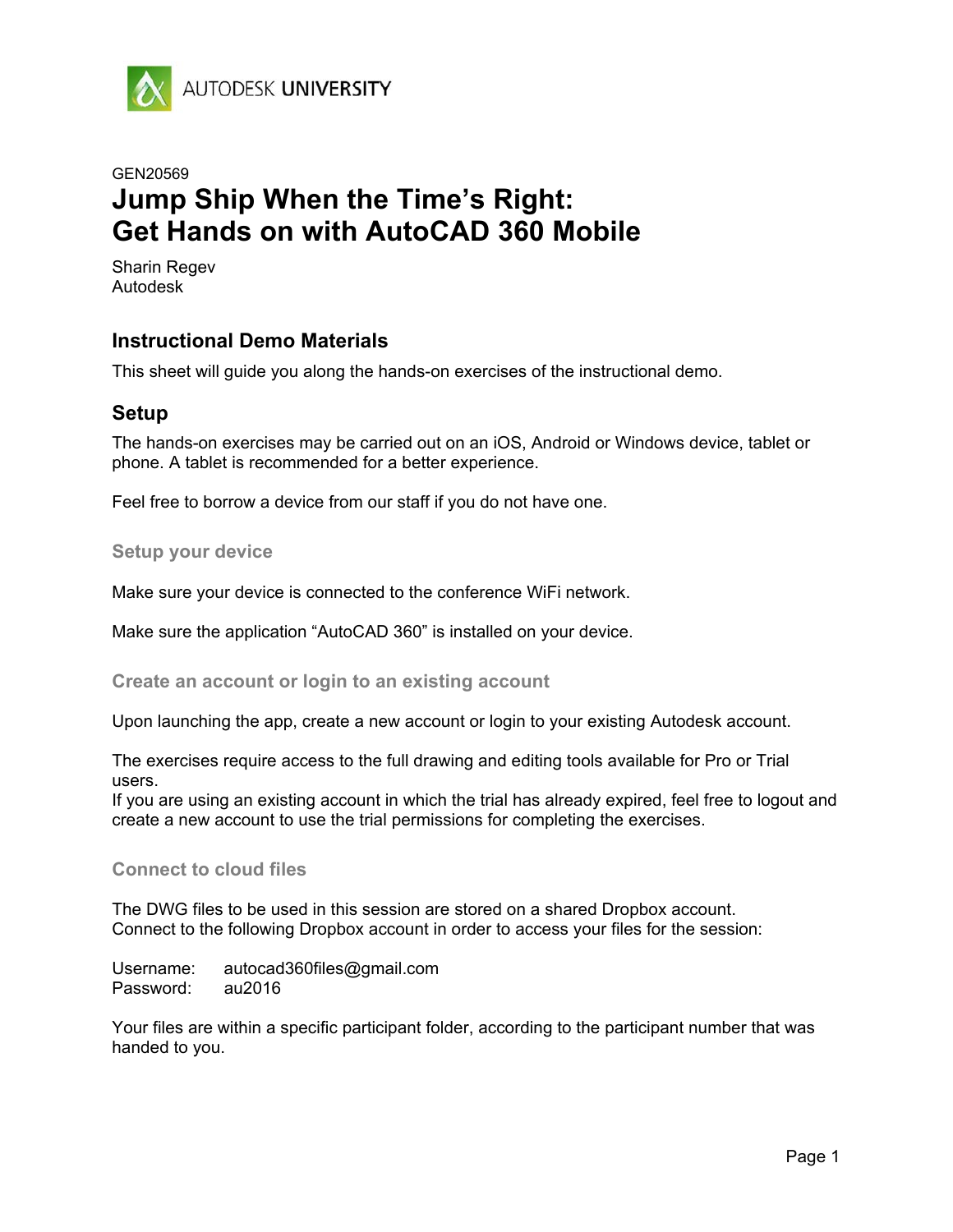

# GEN20569 **Jump Ship When the Time's Right: Get Hands on with AutoCAD 360 Mobile**

Sharin Regev Autodesk

#### **Instructional Demo Materials**

This sheet will guide you along the hands-on exercises of the instructional demo.

#### **Setup**

The hands-on exercises may be carried out on an iOS, Android or Windows device, tablet or phone. A tablet is recommended for a better experience.

Feel free to borrow a device from our staff if you do not have one.

#### **Setup your device**

Make sure your device is connected to the conference WiFi network.

Make sure the application "AutoCAD 360" is installed on your device.

**Create an account or login to an existing account**

Upon launching the app, create a new account or login to your existing Autodesk account.

The exercises require access to the full drawing and editing tools available for Pro or Trial users.

If you are using an existing account in which the trial has already expired, feel free to logout and create a new account to use the trial permissions for completing the exercises.

#### **Connect to cloud files**

The DWG files to be used in this session are stored on a shared Dropbox account. Connect to the following Dropbox account in order to access your files for the session:

Username: autocad360files@gmail.com Password: au2016

Your files are within a specific participant folder, according to the participant number that was handed to you.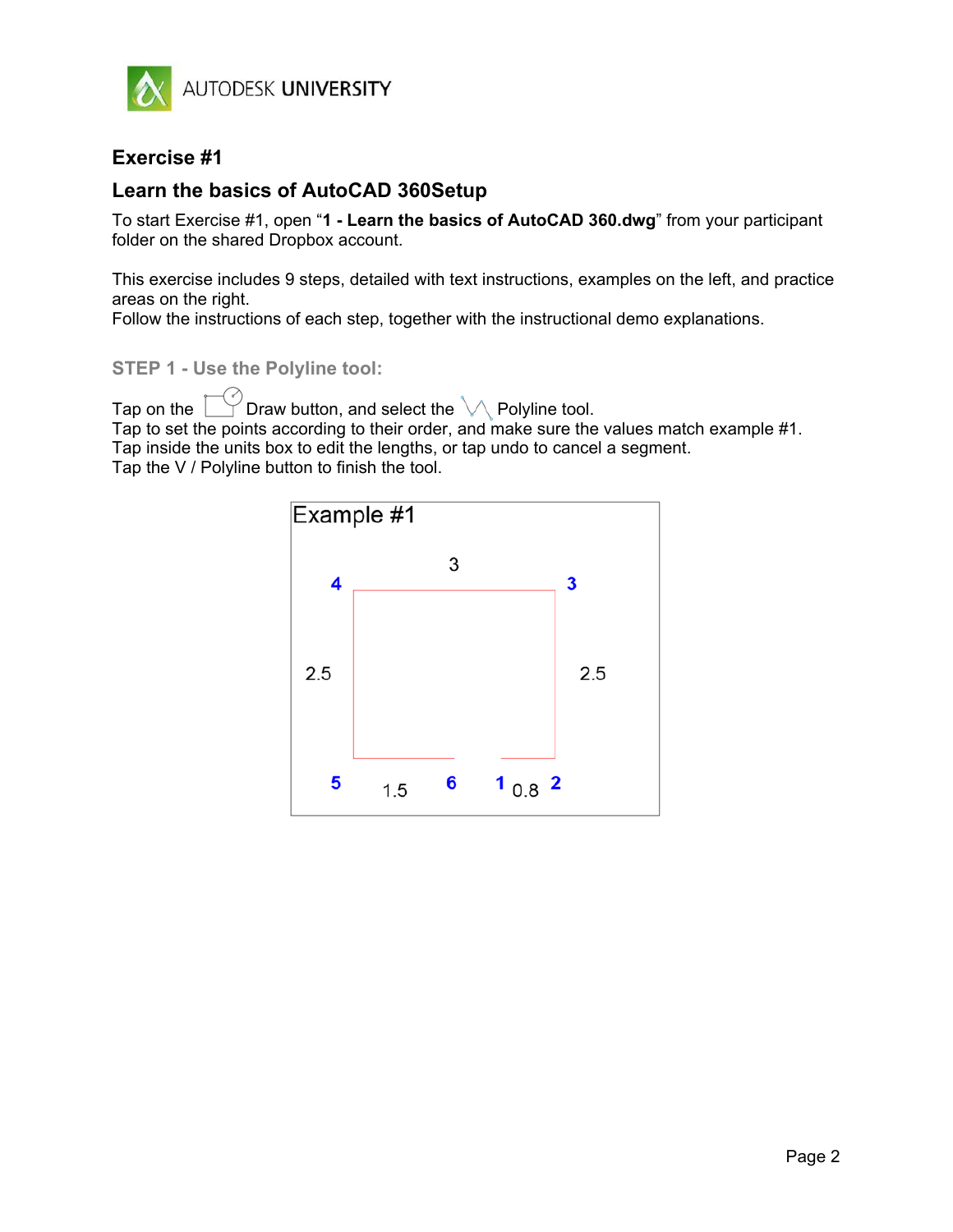

#### **Exercise #1**

#### **Learn the basics of AutoCAD 360Setup**

To start Exercise #1, open "**1 - Learn the basics of AutoCAD 360.dwg**" from your participant folder on the shared Dropbox account.

This exercise includes 9 steps, detailed with text instructions, examples on the left, and practice areas on the right.

Follow the instructions of each step, together with the instructional demo explanations.

**STEP 1 - Use the Polyline tool:** 

Tap on the  $\Box$  Draw button, and select the  $\Diamond$  Polyline tool. Tap to set the points according to their order, and make sure the values match example #1. Tap inside the units box to edit the lengths, or tap undo to cancel a segment. Tap the V / Polyline button to finish the tool.

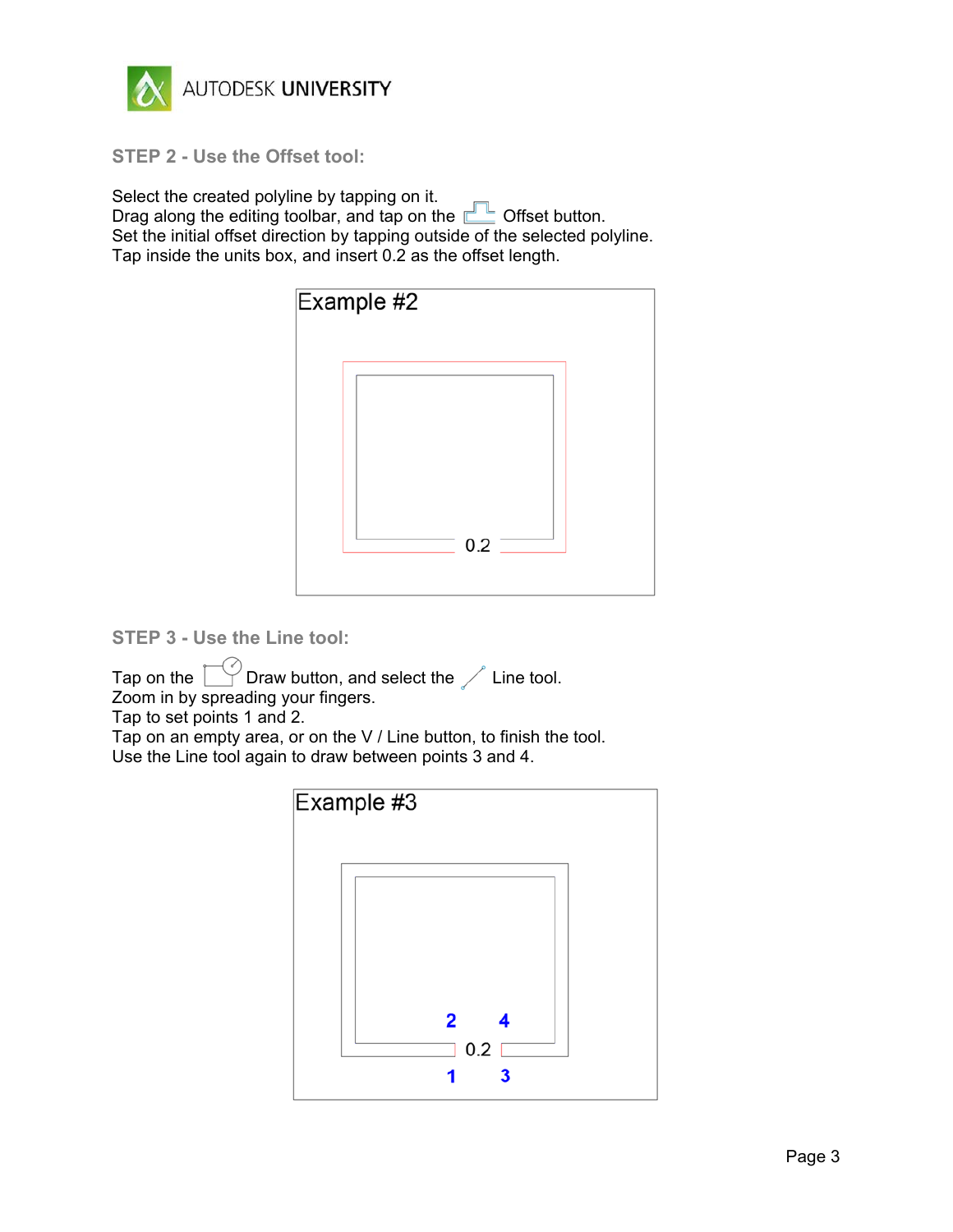

**STEP 2 - Use the Offset tool:**

Select the created polyline by tapping on it. Drag along the editing toolbar, and tap on the **Department of the Contract of String August** Offset button. Set the initial offset direction by tapping outside of the selected polyline. Tap inside the units box, and insert 0.2 as the offset length.



**STEP 3 - Use the Line tool:**

Tap on the  $\Box$  Draw button, and select the  $\angle$  Line tool. Zoom in by spreading your fingers.

Tap to set points 1 and 2.

Tap on an empty area, or on the V / Line button, to finish the tool. Use the Line tool again to draw between points 3 and 4.

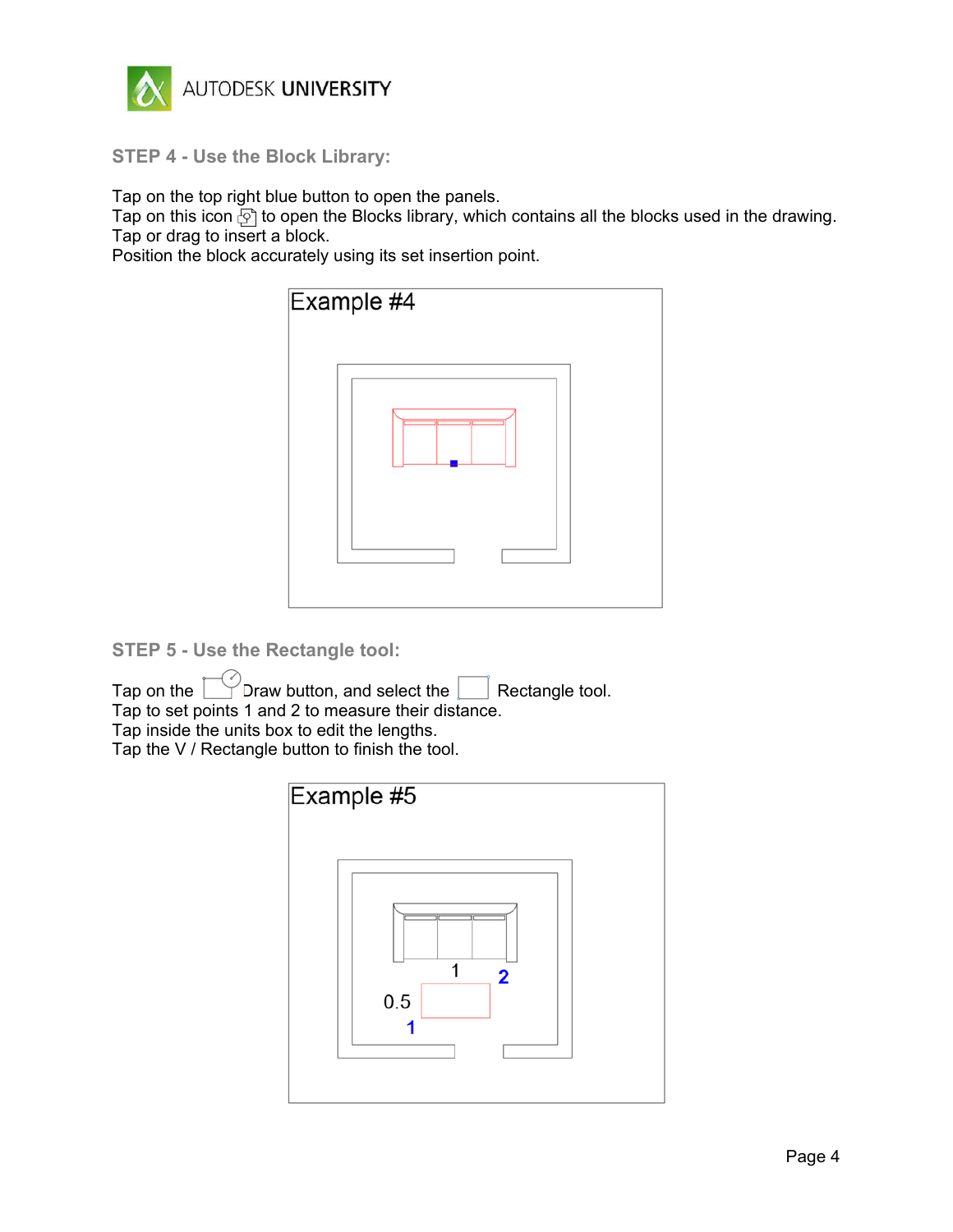

**STEP 4 - Use the Block Library:**

Tap on the top right blue button to open the panels.

Tap on this icon  $\tilde{p}$  to open the Blocks library, which contains all the blocks used in the drawing. Tap or drag to insert a block.

Position the block accurately using its set insertion point.

| Example #4 |  |
|------------|--|
|            |  |
|            |  |

**STEP 5 - Use the Rectangle tool:**

Tap on the  $\Box$  Draw button, and select the  $\Box$  Rectangle tool. Tap to set points 1 and 2 to measure their distance.

Tap inside the units box to edit the lengths.

Tap the V / Rectangle button to finish the tool.

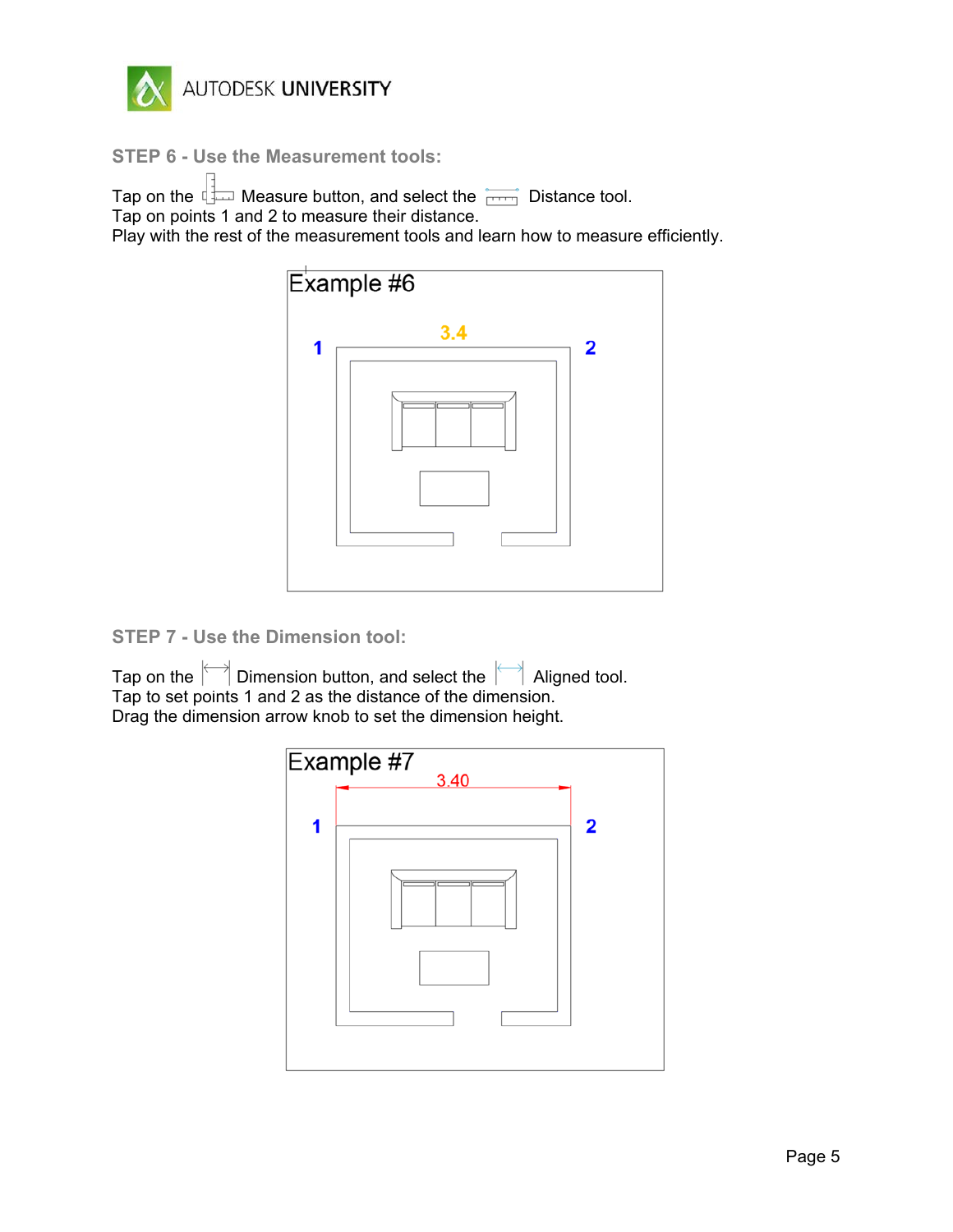

**STEP 6 - Use the Measurement tools:**

Tap on the  $\Box$  Measure button, and select the  $\Box$  Distance tool. Tap on points 1 and 2 to measure their distance. Play with the rest of the measurement tools and learn how to measure efficiently.



**STEP 7 - Use the Dimension tool:**

Tap on the  $\Box$  Dimension button, and select the  $\Box$  Aligned tool. Tap to set points 1 and 2 as the distance of the dimension. Drag the dimension arrow knob to set the dimension height.

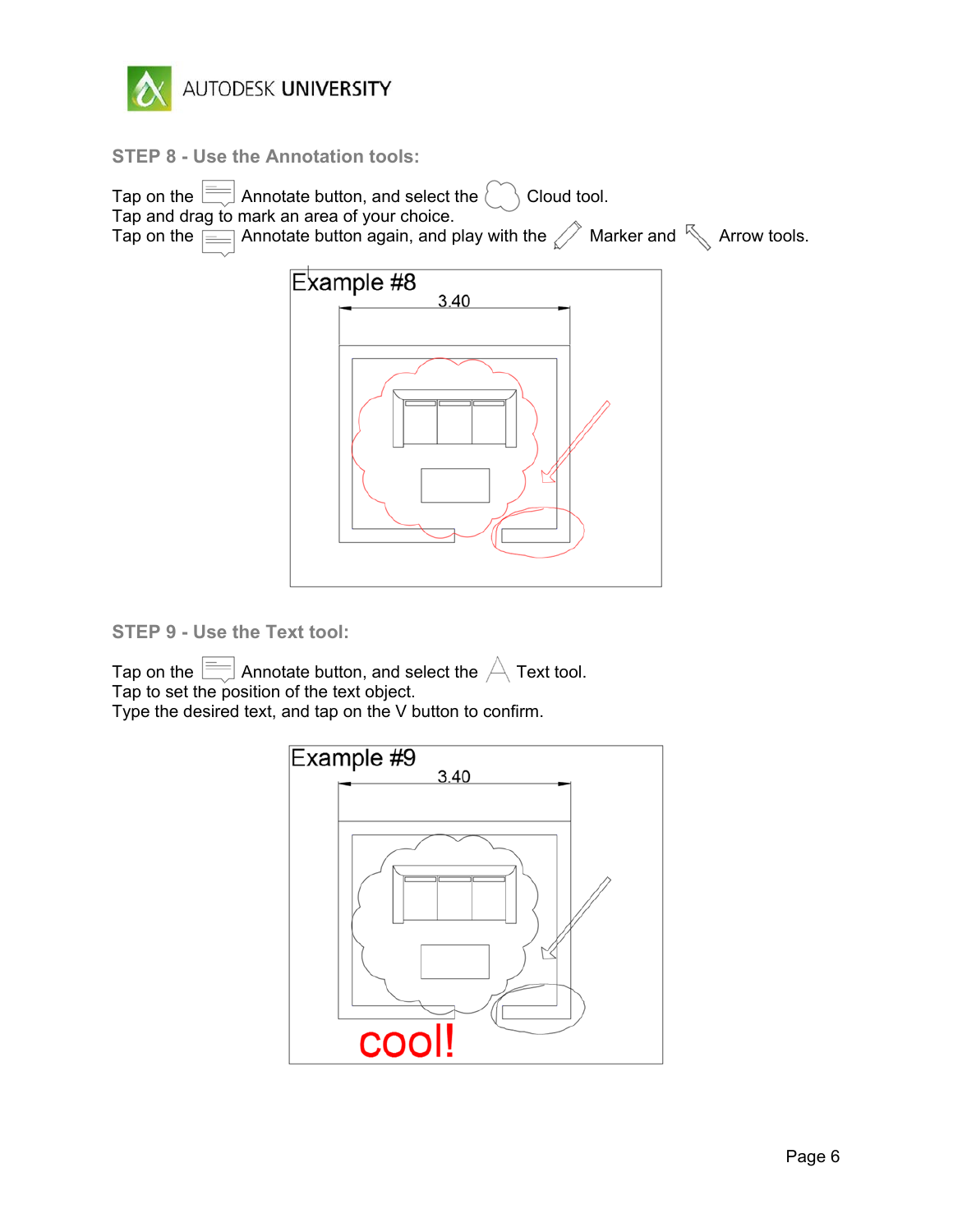

**STEP 8 - Use the Annotation tools:**



**STEP 9 - Use the Text tool:**

Tap on the  $\equiv$  Annotate button, and select the  $\triangle$  Text tool. Tap to set the position of the text object.

Type the desired text, and tap on the V button to confirm.

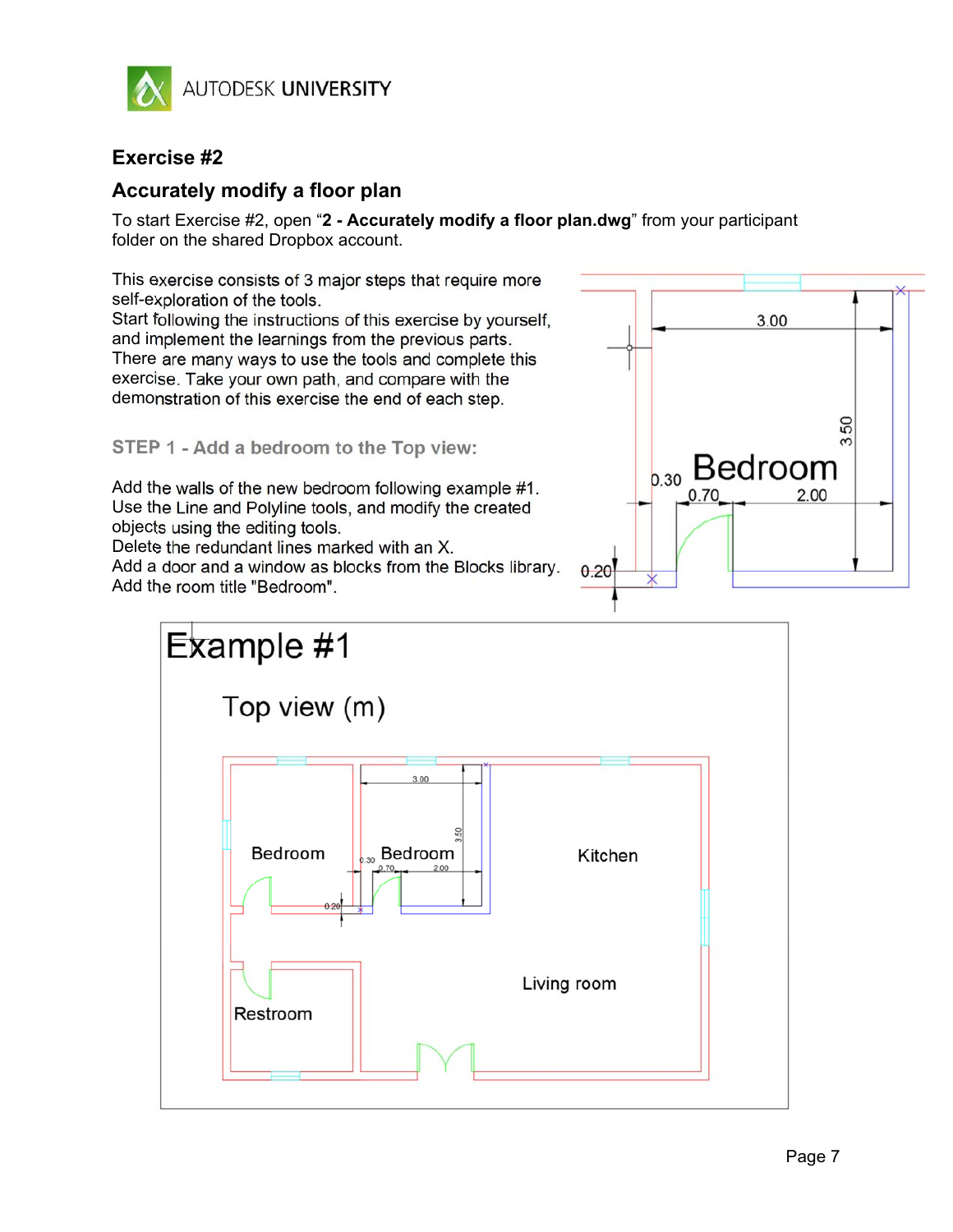

### **Exercise #2**

### **Accurately modify a floor plan**

To start Exercise #2, open "**2 - Accurately modify a floor plan.dwg**" from your participant folder on the shared Dropbox account.

This exercise consists of 3 major steps that require more self-exploration of the tools.

Start following the instructions of this exercise by yourself, and implement the learnings from the previous parts. There are many ways to use the tools and complete this exercise. Take your own path, and compare with the demonstration of this exercise the end of each step.

**STEP 1 - Add a bedroom to the Top view:** 

Add the walls of the new bedroom following example #1. Use the Line and Polyline tools, and modify the created objects using the editing tools.

Delete the redundant lines marked with an X.

Add a door and a window as blocks from the Blocks library. Add the room title "Bedroom".



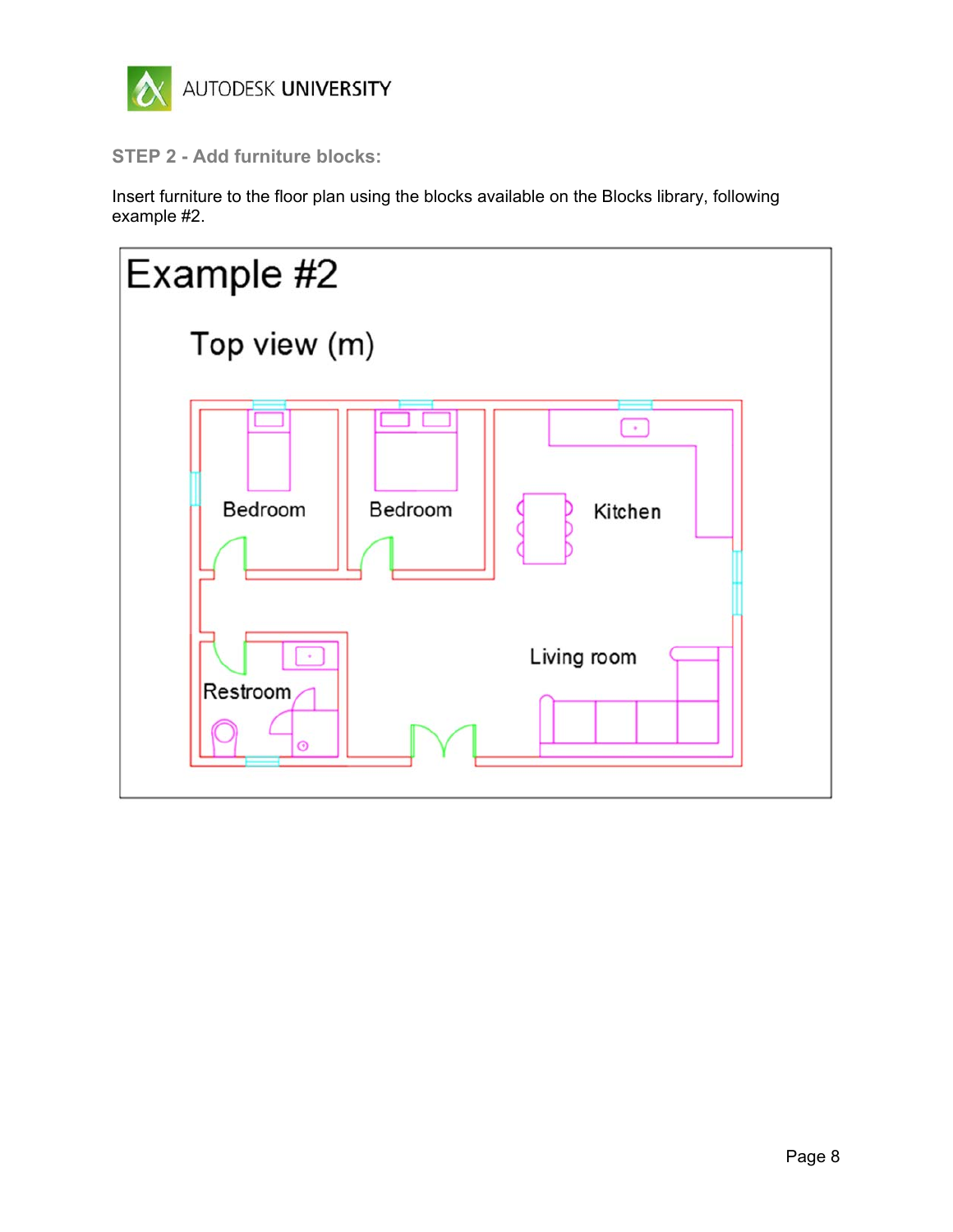

**STEP 2 - Add furniture blocks:** 

Insert furniture to the floor plan using the blocks available on the Blocks library, following example #2.